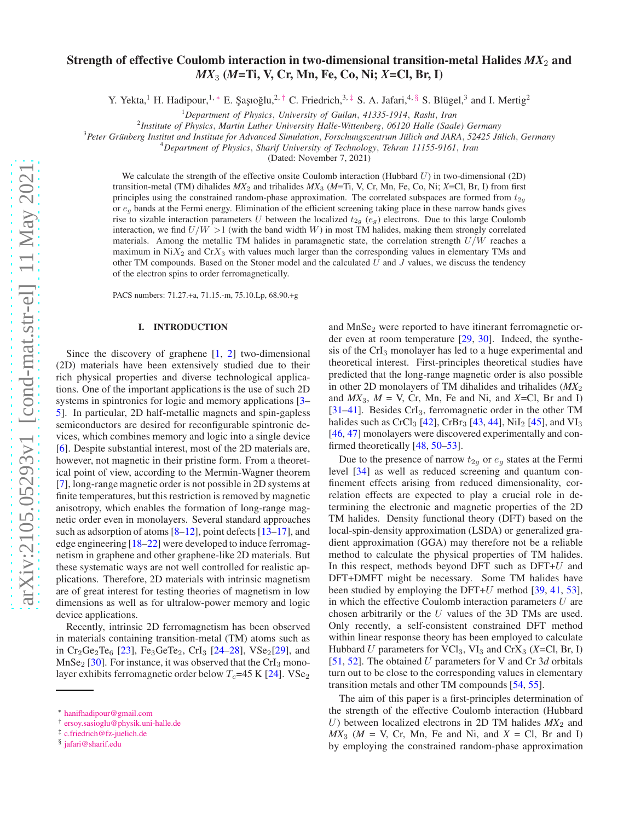# Strength of effective Coulomb interaction in two-dimensional transition-metal Halides  $MX_2$  and *MX*<sup>3</sup> (*M*=Ti, V, Cr, Mn, Fe, Co, Ni; *X*=Cl, Br, I)

Y. Yekta,<sup>1</sup> H. Hadipour,<sup>1,\*</sup> E. Şaşıoğlu,<sup>2,[†](#page-0-1)</sup> C. Friedrich,<sup>3,[‡](#page-0-2)</sup> S. A. Jafari,<sup>4, [§](#page-0-3)</sup> S. Blügel,<sup>3</sup> and I. Mertig<sup>2</sup>

<sup>1</sup>*Department of Physics*, *University of Guilan*, *41335-1914*, *Rasht*, *Iran*

2 *Institute of Physics*, *Martin Luther University Halle-Wittenberg*, *06120 Halle (Saale) Germany*

<sup>3</sup>Peter Grünberg Institut and Institute for Advanced Simulation, *Forschungszentrum Jülich and JARA*, 52425 Jülich, Germany

<sup>4</sup>*Department of Physics*, *Sharif University of Technology*, *Tehran 11155-9161*, *Iran*

(Dated: November 7, 2021)

We calculate the strength of the effective onsite Coulomb interaction (Hubbard  $U$ ) in two-dimensional (2D) transition-metal (TM) dihalides  $MX_2$  and trihalides  $MX_3$  ( $M=Ti$ , V, Cr, Mn, Fe, Co, Ni;  $X=Cl$ , Br, I) from first principles using the constrained random-phase approximation. The correlated subspaces are formed from  $t_{2g}$ or  $e_q$  bands at the Fermi energy. Elimination of the efficient screening taking place in these narrow bands gives rise to sizable interaction parameters U between the localized  $t_{2g}$  (e<sub>g</sub>) electrons. Due to this large Coulomb interaction, we find  $U/W > 1$  (with the band width W) in most TM halides, making them strongly correlated materials. Among the metallic TM halides in paramagnetic state, the correlation strength  $U/W$  reaches a maximum in  $NiX_2$  and  $CrX_3$  with values much larger than the corresponding values in elementary TMs and other TM compounds. Based on the Stoner model and the calculated  $U$  and  $J$  values, we discuss the tendency of the electron spins to order ferromagnetically.

PACS numbers: 71.27.+a, 71.15.-m, 75.10.Lp, 68.90.+g

### I. INTRODUCTION

Since the discovery of graphene [\[1,](#page-7-0) [2](#page-7-1)] two-dimensional (2D) materials have been extensively studied due to their rich physical properties and diverse technological applications. One of the important applications is the use of such 2D systems in spintronics for logic and memory applications [\[3](#page-7-2)– [5](#page-7-3)]. In particular, 2D half-metallic magnets and spin-gapless semiconductors are desired for reconfigurable spintronic devices, which combines memory and logic into a single device [\[6](#page-7-4)]. Despite substantial interest, most of the 2D materials are, however, not magnetic in their pristine form. From a theoretical point of view, according to the Mermin-Wagner theorem [\[7](#page-7-5)], long-range magnetic order is not possible in 2D systems at finite temperatures, but this restriction is removed by magnetic anisotropy, which enables the formation of long-range magnetic order even in monolayers. Several standard approaches such as adsorption of atoms [\[8](#page-7-6)[–12\]](#page-7-7), point defects [\[13](#page-7-8)[–17\]](#page-7-9), and edge engineering [\[18](#page-7-10)[–22\]](#page-8-0) were developed to induce ferromagnetism in graphene and other graphene-like 2D materials. But these systematic ways are not well controlled for realistic applications. Therefore, 2D materials with intrinsic magnetism are of great interest for testing theories of magnetism in low dimensions as well as for ultralow-power memory and logic device applications.

Recently, intrinsic 2D ferromagnetism has been observed in materials containing transition-metal (TM) atoms such as in Cr<sub>2</sub>Ge<sub>2</sub>Te<sub>6</sub> [\[23\]](#page-8-1), Fe<sub>3</sub>GeTe<sub>2</sub>, CrI<sub>3</sub> [\[24](#page-8-2)[–28](#page-8-3)], VSe<sub>2</sub>[\[29\]](#page-8-4), and  $MnSe<sub>2</sub>$  [\[30\]](#page-8-5). For instance, it was observed that the CrI<sub>3</sub> monolayer exhibits ferromagnetic order below  $T_c$ =45 K [\[24\]](#page-8-2). VSe<sub>2</sub>

and MnSe<sub>2</sub> were reported to have itinerant ferromagnetic order even at room temperature [\[29](#page-8-4), [30](#page-8-5)]. Indeed, the synthesis of the CrI<sub>3</sub> monolayer has led to a huge experimental and theoretical interest. First-principles theoretical studies have predicted that the long-range magnetic order is also possible in other 2D monolayers of TM dihalides and trihalides (*MX*<sup>2</sup> and  $MX_3$ ,  $M = V$ , Cr, Mn, Fe and Ni, and  $X = Cl$ , Br and I) [\[31](#page-8-6)[–41](#page-8-7)]. Besides CrI<sub>3</sub>, ferromagnetic order in the other TM halides such as  $CrCl_3$  [\[42](#page-8-8)],  $CrBr_3$  [\[43](#page-8-9), [44\]](#page-8-10),  $NiI_2$  [\[45](#page-8-11)], and  $VI_3$ [\[46](#page-8-12), [47](#page-8-13)] monolayers were discovered experimentally and confirmed theoretically [\[48](#page-8-14), [50](#page-8-15)[–53](#page-8-16)].

Due to the presence of narrow  $t_{2g}$  or  $e_g$  states at the Fermi level [\[34\]](#page-8-17) as well as reduced screening and quantum confinement effects arising from reduced dimensionality, correlation effects are expected to play a crucial role in determining the electronic and magnetic properties of the 2D TM halides. Density functional theory (DFT) based on the local-spin-density approximation (LSDA) or generalized gradient approximation (GGA) may therefore not be a reliable method to calculate the physical properties of TM halides. In this respect, methods beyond DFT such as  $DFT+U$  and DFT+DMFT might be necessary. Some TM halides have been studied by employing the DFT+U method  $[39, 41, 53]$  $[39, 41, 53]$  $[39, 41, 53]$  $[39, 41, 53]$  $[39, 41, 53]$  $[39, 41, 53]$ , in which the effective Coulomb interaction parameters  $U$  are chosen arbitrarily or the  $U$  values of the 3D TMs are used. Only recently, a self-consistent constrained DFT method within linear response theory has been employed to calculate Hubbard U parameters for VCl<sub>3</sub>, VI<sub>3</sub> and CrX<sub>3</sub> (*X*=Cl, Br, I) [\[51](#page-8-19), [52](#page-8-20)]. The obtained U parameters for V and Cr 3*d* orbitals turn out to be close to the corresponding values in elementary transition metals and other TM compounds [\[54,](#page-8-21) [55\]](#page-8-22).

The aim of this paper is a first-principles determination of the strength of the effective Coulomb interaction (Hubbard U) between localized electrons in 2D TM halides  $MX_2$  and  $MX_3$  ( $M = V$ , Cr, Mn, Fe and Ni, and  $X = Cl$ , Br and I) by employing the constrained random-phase approximation

<span id="page-0-0"></span><sup>∗</sup> [hanifhadipour@gmail.com](mailto:hanifhadipour@gmail.com)

<span id="page-0-1"></span><sup>†</sup> [ersoy.sasioglu@physik.uni-halle.de](mailto:ersoy.sasioglu@physik.uni-halle.de)

<span id="page-0-2"></span><sup>‡</sup> [c.friedrich@fz-juelich.de](mailto:c.friedrich@fz-juelich.de)

<span id="page-0-3"></span><sup>§</sup> [jafari@sharif.edu](mailto:jafari@sharif.edu)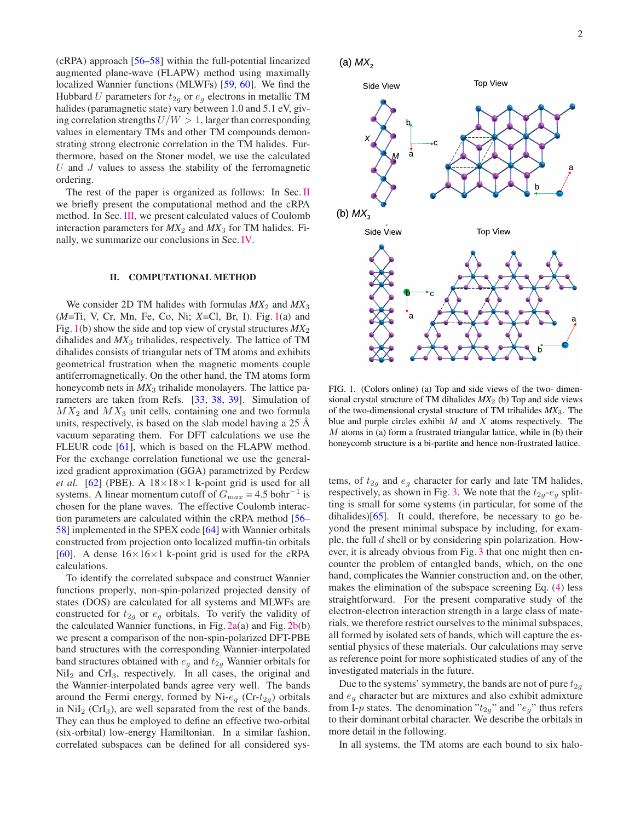(cRPA) approach [\[56](#page-8-23)[–58\]](#page-8-24) within the full-potential linearized augmented plane-wave (FLAPW) method using maximally localized Wannier functions (MLWFs) [\[59,](#page-8-25) [60\]](#page-8-26). We find the Hubbard U parameters for  $t_{2q}$  or  $e_q$  electrons in metallic TM halides (paramagnetic state) vary between 1.0 and 5.1 eV, giving correlation strengths  $U/W > 1$ , larger than corresponding values in elementary TMs and other TM compounds demonstrating strong electronic correlation in the TM halides. Furthermore, based on the Stoner model, we use the calculated  $U$  and  $J$  values to assess the stability of the ferromagnetic ordering.

The rest of the paper is organized as follows: In Sec. [II](#page-1-0) we briefly present the computational method and the cRPA method. In Sec.[III,](#page-3-0) we present calculated values of Coulomb interaction parameters for  $MX_2$  and  $MX_3$  for TM halides. Finally, we summarize our conclusions in Sec. [IV.](#page-7-11)

#### <span id="page-1-0"></span>II. COMPUTATIONAL METHOD

We consider 2D TM halides with formulas  $MX_2$  and  $MX_3$ (*M*=Ti, V, Cr, Mn, Fe, Co, Ni; *X*=Cl, Br, I). Fig. [1\(](#page-1-1)a) and Fig. [1\(](#page-1-1)b) show the side and top view of crystal structures  $MX_2$ dihalides and *MX*<sup>3</sup> trihalides, respectively. The lattice of TM dihalides consists of triangular nets of TM atoms and exhibits geometrical frustration when the magnetic moments couple antiferromagnetically. On the other hand, the TM atoms form honeycomb nets in  $MX_3$  trihalide monolayers. The lattice parameters are taken from Refs. [\[33,](#page-8-27) [38](#page-8-28), [39](#page-8-18)]. Simulation of  $MX_2$  and  $MX_3$  unit cells, containing one and two formula units, respectively, is based on the slab model having a  $25 \text{ Å}$ vacuum separating them. For DFT calculations we use the FLEUR code [\[61](#page-8-29)], which is based on the FLAPW method. For the exchange correlation functional we use the generalized gradient approximation (GGA) parametrized by Perdew *et al.* [\[62](#page-8-30)] (PBE). A  $18 \times 18 \times 1$  k-point grid is used for all systems. A linear momentum cutoff of  $G_{\text{max}} = 4.5 \text{ bohr}^{-1}$  is chosen for the plane waves. The effective Coulomb interaction parameters are calculated within the cRPA method [\[56](#page-8-23)– [58\]](#page-8-24) implemented in the SPEX code [\[64](#page-8-31)] with Wannier orbitals constructed from projection onto localized muffin-tin orbitals [\[60](#page-8-26)]. A dense  $16\times16\times1$  k-point grid is used for the cRPA calculations.

To identify the correlated subspace and construct Wannier functions properly, non-spin-polarized projected density of states (DOS) are calculated for all systems and MLWFs are constructed for  $t_{2g}$  or  $e_g$  orbitals. To verify the validity of the calculated Wannier functions, in Fig.  $2a(a)$  $2a(a)$  and Fig.  $2b(b)$  $2b(b)$ we present a comparison of the non-spin-polarized DFT-PBE band structures with the corresponding Wannier-interpolated band structures obtained with  $e_g$  and  $t_{2g}$  Wannier orbitals for  $NiI<sub>2</sub>$  and  $CrI<sub>3</sub>$ , respectively. In all cases, the original and the Wannier-interpolated bands agree very well. The bands around the Fermi energy, formed by Ni- $e_g$  (Cr- $t_{2g}$ ) orbitals in  $\text{Nil}_2$  (CrI<sub>3</sub>), are well separated from the rest of the bands. They can thus be employed to define an effective two-orbital (six-orbital) low-energy Hamiltonian. In a similar fashion, correlated subspaces can be defined for all considered sys-

<span id="page-1-1"></span>



FIG. 1. (Colors online) (a) Top and side views of the two- dimensional crystal structure of TM dihalides  $MX_2$  (b) Top and side views of the two-dimensional crystal structure of TM trihalides *MX*3. The blue and purple circles exhibit  $M$  and  $X$  atoms respectively. The  $M$  atoms in (a) form a frustrated triangular lattice, while in (b) their honeycomb structure is a bi-partite and hence non-frustrated lattice.

tems, of  $t_{2g}$  and  $e_g$  character for early and late TM halides, respectively, as shown in Fig. [3.](#page-3-1) We note that the  $t_{2g}$ - $e_g$  splitting is small for some systems (in particular, for some of the dihalides) $[65]$ . It could, therefore, be necessary to go beyond the present minimal subspace by including, for example, the full d shell or by considering spin polarization. However, it is already obvious from Fig. [3](#page-3-1) that one might then encounter the problem of entangled bands, which, on the one hand, complicates the Wannier construction and, on the other, makes the elimination of the subspace screening Eq. [\(4\)](#page-2-2) less straightforward. For the present comparative study of the electron-electron interaction strength in a large class of materials, we therefore restrict ourselves to the minimal subspaces, all formed by isolated sets of bands, which will capture the essential physics of these materials. Our calculations may serve as reference point for more sophisticated studies of any of the investigated materials in the future.

Due to the systems' symmetry, the bands are not of pure  $t_{2g}$ and  $e<sub>q</sub>$  character but are mixtures and also exhibit admixture from I-p states. The denomination " $t_{2q}$ " and " $e_q$ " thus refers to their dominant orbital character. We describe the orbitals in more detail in the following.

In all systems, the TM atoms are each bound to six halo-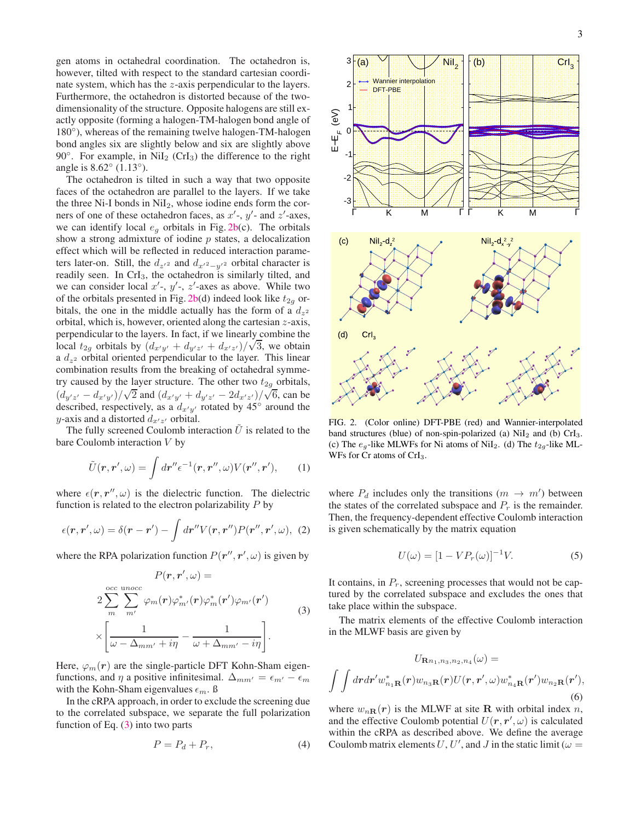gen atoms in octahedral coordination. The octahedron is, however, tilted with respect to the standard cartesian coordinate system, which has the z-axis perpendicular to the layers. Furthermore, the octahedron is distorted because of the twodimensionality of the structure. Opposite halogens are still exactly opposite (forming a halogen-TM-halogen bond angle of 180°), whereas of the remaining twelve halogen-TM-halogen bond angles six are slightly below and six are slightly above 90 $\degree$ . For example, in NiI<sub>2</sub> (CrI<sub>3</sub>) the difference to the right angle is 8.62◦ (1.13◦ ).

The octahedron is tilted in such a way that two opposite faces of the octahedron are parallel to the layers. If we take the three Ni-I bonds in  $\text{Nil}_2$ , whose iodine ends form the corners of one of these octahedron faces, as  $x'$ -,  $y'$ - and  $z'$ -axes, we can identify local  $e_g$  orbitals in Fig. [2b\(](#page-2-1)c). The orbitals show a strong admixture of iodine  $p$  states, a delocalization effect which will be reflected in reduced interaction parameters later-on. Still, the  $d_{z'}$  and  $d_{x'}$ <sub>2</sub> $-y'$  orbital character is readily seen. In CrI3, the octahedron is similarly tilted, and we can consider local  $x'$ -,  $y'$ -,  $z'$ -axes as above. While two of the orbitals presented in Fig. [2b\(](#page-2-1)d) indeed look like  $t_{2g}$  orbitals, the one in the middle actually has the form of a  $d_{z^2}$ orbital, which is, however, oriented along the cartesian z-axis, perpendicular to the layers. In fact, if we linearly combine the local  $t_{2g}$  orbitals by  $\left(\frac{dx'}{y'} + \frac{dy'}{z'} + \frac{dx'}{z'}\right)/\sqrt{3}$ , we obtain a  $d_{z^2}$  orbital oriented perpendicular to the layer. This linear combination results from the breaking of octahedral symmetry caused by the layer structure. The other two  $t_{2g}$  orbitals,  $\left(d_{y'z'} - d_{x'y'}\right)/\sqrt{2}$  and  $\left(d_{x'y'} + d_{y'z'} - 2d_{x'z'}\right)/\sqrt{6}$ , can be described, respectively, as a  $d_{x'y'}$  rotated by 45° around the y-axis and a distorted  $d_{x'z'}$  orbital.

The fully screened Coulomb interaction  $\hat{U}$  is related to the bare Coulomb interaction  $V$  by

$$
\tilde{U}(\mathbf{r}, \mathbf{r}', \omega) = \int d\mathbf{r}'' \epsilon^{-1}(\mathbf{r}, \mathbf{r}'', \omega) V(\mathbf{r}'', \mathbf{r}'), \qquad (1)
$$

where  $\epsilon(\mathbf{r}, \mathbf{r}'', \omega)$  is the dielectric function. The dielectric function is related to the electron polarizability  $P$  by

$$
\epsilon(\mathbf{r}, \mathbf{r}', \omega) = \delta(\mathbf{r} - \mathbf{r}') - \int d\mathbf{r}'' V(\mathbf{r}, \mathbf{r}'') P(\mathbf{r}'', \mathbf{r}', \omega), \tag{2}
$$

where the RPA polarization function  $P(r'', r', \omega)$  is given by

<span id="page-2-3"></span>
$$
P(\mathbf{r}, \mathbf{r}', \omega) =
$$
  
\n
$$
2 \sum_{m}^{\text{occ } \text{unocc}} \sum_{m'}^{\text{occ } \text{unocc}} \varphi_{m}(\mathbf{r}) \varphi_{m'}^{*}(\mathbf{r}) \varphi_{m'}^{*}(\mathbf{r}') \varphi_{m'}(\mathbf{r}')
$$
  
\n
$$
\times \left[ \frac{1}{\omega - \Delta_{mm'} + i\eta} - \frac{1}{\omega + \Delta_{mm'} - i\eta} \right].
$$
\n(3)

Here,  $\varphi_m(\mathbf{r})$  are the single-particle DFT Kohn-Sham eigenfunctions, and  $\eta$  a positive infinitesimal.  $\Delta_{mm'} = \epsilon_{m'} - \epsilon_m$ with the Kohn-Sham eigenvalues  $\epsilon_m$ . ß

In the cRPA approach, in order to exclude the screening due to the correlated subspace, we separate the full polarization function of Eq.  $(3)$  into two parts

<span id="page-2-2"></span>
$$
P = P_d + P_r,\tag{4}
$$

<span id="page-2-0"></span>

<span id="page-2-1"></span>FIG. 2. (Color online) DFT-PBE (red) and Wannier-interpolated band structures (blue) of non-spin-polarized (a)  $NiI<sub>2</sub>$  and (b)  $CrI<sub>3</sub>$ . (c) The  $e_g$ -like MLWFs for Ni atoms of NiI<sub>2</sub>. (d) The  $t_{2g}$ -like ML-WFs for Cr atoms of CrI<sub>3</sub>.

where  $P_d$  includes only the transitions  $(m \to m')$  between the states of the correlated subspace and  $P_r$  is the remainder. Then, the frequency-dependent effective Coulomb interaction is given schematically by the matrix equation

$$
U(\omega) = [1 - VP_r(\omega)]^{-1}V.
$$
\n(5)

It contains, in  $P_r$ , screening processes that would not be captured by the correlated subspace and excludes the ones that take place within the subspace.

The matrix elements of the effective Coulomb interaction in the MLWF basis are given by

$$
U_{\mathbf{R}n_1,n_3,n_2,n_4}(\omega) =
$$

$$
\int \int dr dr' w_{n_1\mathbf{R}}^*(\mathbf{r}) w_{n_3\mathbf{R}}(\mathbf{r}) U(\mathbf{r},\mathbf{r}',\omega) w_{n_4\mathbf{R}}^*(\mathbf{r}') w_{n_2\mathbf{R}}(\mathbf{r}'),
$$

$$
(6)
$$

where  $w_{nR}(r)$  is the MLWF at site R with orbital index n, and the effective Coulomb potential  $U(\mathbf{r}, \mathbf{r}', \omega)$  is calculated within the cRPA as described above. We define the average Coulomb matrix elements U, U', and J in the static limit ( $\omega =$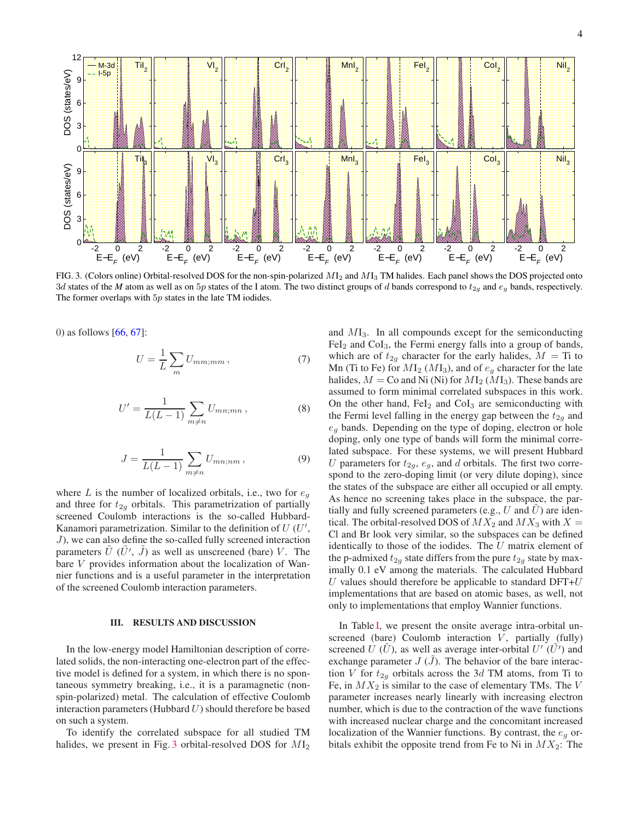<span id="page-3-1"></span>

FIG. 3. (Colors online) Orbital-resolved DOS for the non-spin-polarized  $M_2$  and  $M_3$  TM halides. Each panel shows the DOS projected onto 3d states of the *M* atom as well as on 5p states of the I atom. The two distinct groups of d bands correspond to  $t_{2g}$  and  $e_g$  bands, respectively. The former overlaps with  $5p$  states in the late TM iodides.

0) as follows [\[66,](#page-8-33) [67\]](#page-8-34):

<span id="page-3-2"></span>
$$
U = \frac{1}{L} \sum_{m} U_{mm;mm} \,, \tag{7}
$$

$$
U' = \frac{1}{L(L-1)} \sum_{m \neq n} U_{mn;mn}, \qquad (8)
$$

$$
J = \frac{1}{L(L-1)} \sum_{m \neq n} U_{mn;nm} , \qquad (9)
$$

where L is the number of localized orbitals, i.e., two for  $e_g$ and three for  $t_{2g}$  orbitals. This parametrization of partially screened Coulomb interactions is the so-called Hubbard-Kanamori parametrization. Similar to the definition of  $U$  ( $U'$ ,  $J$ ), we can also define the so-called fully screened interaction parameters  $\tilde{U}$  ( $\tilde{U}'$ ,  $\tilde{J}$ ) as well as unscreened (bare) V. The bare V provides information about the localization of Wannier functions and is a useful parameter in the interpretation of the screened Coulomb interaction parameters.

## <span id="page-3-0"></span>III. RESULTS AND DISCUSSION

In the low-energy model Hamiltonian description of correlated solids, the non-interacting one-electron part of the effective model is defined for a system, in which there is no spontaneous symmetry breaking, i.e., it is a paramagnetic (nonspin-polarized) metal. The calculation of effective Coulomb interaction parameters (Hubbard  $U$ ) should therefore be based on such a system.

To identify the correlated subspace for all studied TM halides, we present in Fig. [3](#page-3-1) orbital-resolved DOS for  $MI_2$  and  $M_{3}$ . In all compounds except for the semiconducting  $FeI<sub>2</sub>$  and  $CoI<sub>3</sub>$ , the Fermi energy falls into a group of bands, which are of  $t_{2q}$  character for the early halides,  $M = Ti$  to Mn (Ti to Fe) for  $MI_2$  ( $MI_3$ ), and of  $e_q$  character for the late halides,  $M =$  Co and Ni (Ni) for  $M_2$  ( $M_3$ ). These bands are assumed to form minimal correlated subspaces in this work. On the other hand,  $\text{FeI}_2$  and  $\text{CoI}_3$  are semiconducting with the Fermi level falling in the energy gap between the  $t_{2g}$  and  $e_q$  bands. Depending on the type of doping, electron or hole doping, only one type of bands will form the minimal correlated subspace. For these systems, we will present Hubbard U parameters for  $t_{2g}$ ,  $e_g$ , and d orbitals. The first two correspond to the zero-doping limit (or very dilute doping), since the states of the subspace are either all occupied or all empty. As hence no screening takes place in the subspace, the partially and fully screened parameters (e.g.,  $U$  and  $U$ ) are identical. The orbital-resolved DOS of  $MX_2$  and  $MX_3$  with  $X =$ Cl and Br look very similar, so the subspaces can be defined identically to those of the iodides. The  $U$  matrix element of the p-admixed  $t_{2g}$  state differs from the pure  $t_{2g}$  state by maximally 0.1 eV among the materials. The calculated Hubbard  $U$  values should therefore be applicable to standard DFT+ $U$ implementations that are based on atomic bases, as well, not only to implementations that employ Wannier functions.

In Table [I,](#page-5-0) we present the onsite average intra-orbital unscreened (bare) Coulomb interaction  $V$ , partially (fully) screened U ( $\tilde{U}$ ), as well as average inter-orbital  $U'(\tilde{U}')$  and exchange parameter  $J(\tilde{J})$ . The behavior of the bare interaction V for  $t_{2q}$  orbitals across the 3d TM atoms, from Ti to Fe, in  $MX_2$  is similar to the case of elementary TMs. The V parameter increases nearly linearly with increasing electron number, which is due to the contraction of the wave functions with increased nuclear charge and the concomitant increased localization of the Wannier functions. By contrast, the  $e_q$  orbitals exhibit the opposite trend from Fe to Ni in  $MX_2$ : The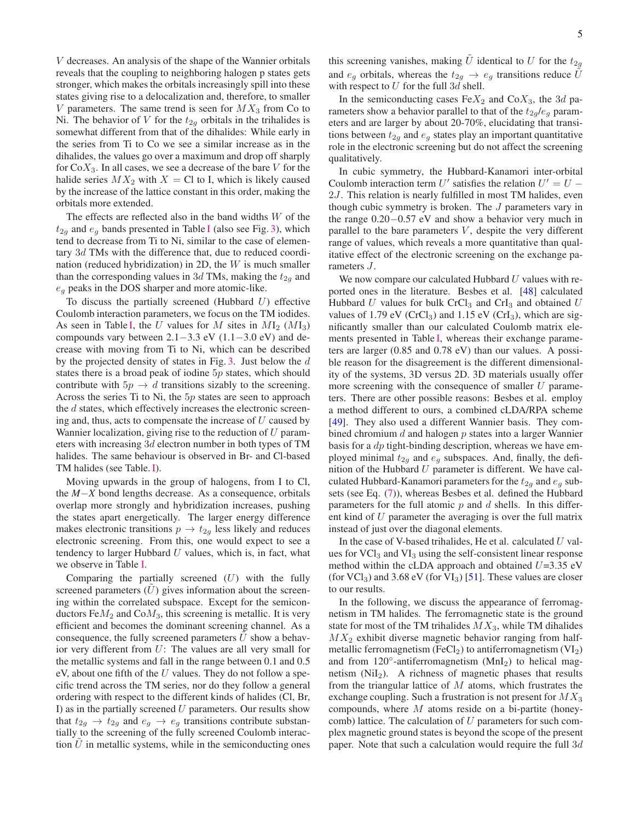V decreases. An analysis of the shape of the Wannier orbitals reveals that the coupling to neighboring halogen p states gets stronger, which makes the orbitals increasingly spill into these states giving rise to a delocalization and, therefore, to smaller V parameters. The same trend is seen for  $MX_3$  from Co to Ni. The behavior of V for the  $t_{2g}$  orbitals in the trihalides is somewhat different from that of the dihalides: While early in the series from Ti to Co we see a similar increase as in the dihalides, the values go over a maximum and drop off sharply for  $CoX_3$ . In all cases, we see a decrease of the bare V for the halide series  $MX_2$  with  $X = C1$  to I, which is likely caused by the increase of the lattice constant in this order, making the orbitals more extended.

The effects are reflected also in the band widths  $W$  of the  $t_{2q}$  and  $e_q$  bands presented in Table [I](#page-5-0) (also see Fig. [3\)](#page-3-1), which tend to decrease from Ti to Ni, similar to the case of elementary 3d TMs with the difference that, due to reduced coordination (reduced hybridization) in 2D, the  $W$  is much smaller than the corresponding values in 3d TMs, making the  $t_{2g}$  and  $e_g$  peaks in the DOS sharper and more atomic-like.

To discuss the partially screened (Hubbard  $U$ ) effective Coulomb interaction parameters, we focus on the TM iodides. As seen in Table [I,](#page-5-0) the U values for M sites in  $M_2$  ( $M_3$ ) compounds vary between 2.1−3.3 eV (1.1−3.0 eV) and decrease with moving from Ti to Ni, which can be described by the projected density of states in Fig. [3.](#page-3-1) Just below the d states there is a broad peak of iodine  $5p$  states, which should contribute with  $5p \rightarrow d$  transitions sizably to the screening. Across the series Ti to Ni, the  $5p$  states are seen to approach the  $d$  states, which effectively increases the electronic screening and, thus, acts to compensate the increase of  $U$  caused by Wannier localization, giving rise to the reduction of  $U$  parameters with increasing 3d electron number in both types of TM halides. The same behaviour is observed in Br- and Cl-based TM halides (see Table. [I\)](#page-5-0).

Moving upwards in the group of halogens, from I to Cl, the *M*−*X* bond lengths decrease. As a consequence, orbitals overlap more strongly and hybridization increases, pushing the states apart energetically. The larger energy difference makes electronic transitions  $p \rightarrow t_{2g}$  less likely and reduces electronic screening. From this, one would expect to see a tendency to larger Hubbard  $U$  values, which is, in fact, what we observe in Table [I.](#page-5-0)

Comparing the partially screened  $(U)$  with the fully screened parameters  $(U)$  gives information about the screening within the correlated subspace. Except for the semiconductors  $FeM<sub>2</sub>$  and  $CoM<sub>3</sub>$ , this screening is metallic. It is very efficient and becomes the dominant screening channel. As a consequence, the fully screened parameters  $U$  show a behavior very different from U: The values are all very small for the metallic systems and fall in the range between 0.1 and 0.5 eV, about one fifth of the  $U$  values. They do not follow a specific trend across the TM series, nor do they follow a general ordering with respect to the different kinds of halides (Cl, Br, I) as in the partially screened  $U$  parameters. Our results show that  $t_{2q} \rightarrow t_{2q}$  and  $e_q \rightarrow e_q$  transitions contribute substantially to the screening of the fully screened Coulomb interaction  $U$  in metallic systems, while in the semiconducting ones

this screening vanishes, making U identical to U for the  $t_{2g}$ and  $e_q$  orbitals, whereas the  $t_{2q} \rightarrow e_q$  transitions reduce U with respect to  $U$  for the full  $3d$  shell.

In the semiconducting cases  $FeX_2$  and  $CoX_3$ , the 3d parameters show a behavior parallel to that of the  $t_{2g}/e_g$  parameters and are larger by about 20-70%, elucidating that transitions between  $t_{2g}$  and  $e_g$  states play an important quantitative role in the electronic screening but do not affect the screening qualitatively.

In cubic symmetry, the Hubbard-Kanamori inter-orbital Coulomb interaction term U' satisfies the relation  $U' = U -$ 2*J*. This relation is nearly fulfilled in most TM halides, even though cubic symmetry is broken. The J parameters vary in the range 0.20−0.57 eV and show a behavior very much in parallel to the bare parameters  $V$ , despite the very different range of values, which reveals a more quantitative than qualitative effect of the electronic screening on the exchange parameters J.

We now compare our calculated Hubbard  $U$  values with reported ones in the literature. Besbes et al. [\[48\]](#page-8-14) calculated Hubbard U values for bulk CrCl<sub>3</sub> and CrI<sub>3</sub> and obtained U values of 1.79 eV (CrCl<sub>3</sub>) and 1.15 eV (CrI<sub>3</sub>), which are significantly smaller than our calculated Coulomb matrix elements presented in Table [I,](#page-5-0) whereas their exchange parameters are larger (0.85 and 0.78 eV) than our values. A possible reason for the disagreement is the different dimensionality of the systems, 3D versus 2D. 3D materials usually offer more screening with the consequence of smaller  $U$  parameters. There are other possible reasons: Besbes et al. employ a method different to ours, a combined cLDA/RPA scheme [\[49](#page-8-35)]. They also used a different Wannier basis. They combined chromium  $d$  and halogen  $p$  states into a larger Wannier basis for a  $dp$  tight-binding description, whereas we have employed minimal  $t_{2g}$  and  $e_g$  subspaces. And, finally, the definition of the Hubbard  $U$  parameter is different. We have calculated Hubbard-Kanamori parameters for the  $t_{2q}$  and  $e_q$  subsets (see Eq. [\(7\)](#page-3-2)), whereas Besbes et al. defined the Hubbard parameters for the full atomic  $p$  and  $d$  shells. In this different kind of U parameter the averaging is over the full matrix instead of just over the diagonal elements.

In the case of V-based trihalides, He et al. calculated  $U$  values for  $VCl<sub>3</sub>$  and  $VI<sub>3</sub>$  using the self-consistent linear response method within the cLDA approach and obtained  $U=3.35$  eV (for  $VCl_3$ ) and 3.68 eV (for  $VI_3$ ) [\[51\]](#page-8-19). These values are closer to our results.

In the following, we discuss the appearance of ferromagnetism in TM halides. The ferromagnetic state is the ground state for most of the TM trihalides  $MX_3$ , while TM dihalides  $MX_2$  exhibit diverse magnetic behavior ranging from halfmetallic ferromagnetism (FeCl<sub>2</sub>) to antiferromagnetism ( $VI_2$ ) and from 120°-antiferromagnetism (MnI<sub>2</sub>) to helical magnetism  $(NiI<sub>2</sub>)$ . A richness of magnetic phases that results from the triangular lattice of  $M$  atoms, which frustrates the exchange coupling. Such a frustration is not present for  $MX_3$ compounds, where  $M$  atoms reside on a bi-partite (honeycomb) lattice. The calculation of  $U$  parameters for such complex magnetic ground states is beyond the scope of the present paper. Note that such a calculation would require the full  $3d$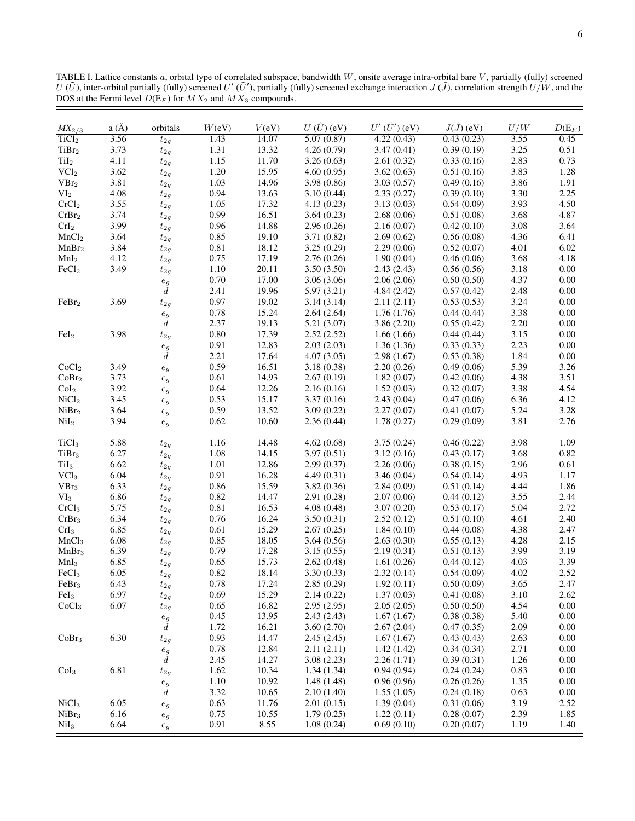<span id="page-5-0"></span>TABLE I. Lattice constants a, orbital type of correlated subspace, bandwidth W, onsite average intra-orbital bare V, partially (fully) screened  $U(\tilde{U})$ , inter-orbital partially (fully) screened  $U'(\tilde{U}')$ , partially (fu DOS at the Fermi level  $D(E_F)$  for  $MX_2$  and  $MX_3$  compounds.

| $MX_{2/3}$        | a(A) | orbitals             | W(eV) | V(eV) | $U(\tilde{U})$ (eV) | $U'\,(\tilde{U}')$ (eV) | $J(\tilde{J})$ (eV) | U/W  | $D(E_F)$ |
|-------------------|------|----------------------|-------|-------|---------------------|-------------------------|---------------------|------|----------|
| TiCl <sub>2</sub> | 3.56 | $t_{2g}$             | 1.43  | 14.07 | 5.07(0.87)          | 4.22(0.43)              | 0.43(0.23)          | 3.55 | 0.45     |
| TiBr <sub>2</sub> | 3.73 | $t_{2g}$             | 1.31  | 13.32 | 4.26(0.79)          | 3.47(0.41)              | 0.39(0.19)          | 3.25 | 0.51     |
| TiI <sub>2</sub>  | 4.11 | $t_{2g}$             | 1.15  | 11.70 | 3.26(0.63)          | 2.61(0.32)              | 0.33(0.16)          | 2.83 | 0.73     |
| VCl <sub>2</sub>  | 3.62 | $t_{2g}$             | 1.20  | 15.95 | 4.60(0.95)          | 3.62(0.63)              | 0.51(0.16)          | 3.83 | 1.28     |
| VBr <sub>2</sub>  | 3.81 | $t_{2g}$             | 1.03  | 14.96 | 3.98(0.86)          | 3.03(0.57)              | 0.49(0.16)          | 3.86 | 1.91     |
| VI <sub>2</sub>   | 4.08 | $t_{2g}$             | 0.94  | 13.63 | 3.10(0.44)          | 2.33(0.27)              | 0.39(0.10)          | 3.30 | 2.25     |
| CrCl <sub>2</sub> | 3.55 | $t_{2g}$             | 1.05  | 17.32 | 4.13(0.23)          | 3.13(0.03)              | 0.54(0.09)          | 3.93 | 4.50     |
| CrBr <sub>2</sub> | 3.74 | $t_{2g}$             | 0.99  | 16.51 | 3.64(0.23)          | 2.68(0.06)              | 0.51(0.08)          | 3.68 | 4.87     |
| CrI <sub>2</sub>  | 3.99 | $t_{2g}$             | 0.96  | 14.88 | 2.96(0.26)          | 2.16(0.07)              | 0.42(0.10)          | 3.08 | 3.64     |
| MnCl <sub>2</sub> | 3.64 | $t_{2g}$             | 0.85  | 19.10 | 3.71(0.82)          | 2.69(0.62)              | 0.56(0.08)          | 4.36 | 6.41     |
| MnBr <sub>2</sub> | 3.84 | $t_{2g}$             | 0.81  | 18.12 | 3.25(0.29)          | 2.29(0.06)              | 0.52(0.07)          | 4.01 | 6.02     |
| MnI <sub>2</sub>  | 4.12 | $t_{2g}$             | 0.75  | 17.19 | 2.76(0.26)          | 1.90(0.04)              | 0.46(0.06)          | 3.68 | 4.18     |
| FeCl <sub>2</sub> | 3.49 | $t_{2g}$             | 1.10  | 20.11 | 3.50(3.50)          | 2.43(2.43)              | 0.56(0.56)          | 3.18 | $0.00\,$ |
|                   |      | $\boldsymbol{e}_g$   | 0.70  | 17.00 | 3.06(3.06)          | 2.06(2.06)              | 0.50(0.50)          | 4.37 | 0.00     |
|                   |      | $\boldsymbol{d}$     | 2.41  | 19.96 | 5.97(3.21)          | 4.84(2.42)              | 0.57(0.42)          | 2.48 | 0.00     |
| FeBr <sub>2</sub> | 3.69 | $t_{2g}$             | 0.97  | 19.02 | 3.14(3.14)          | 2.11(2.11)              | 0.53(0.53)          | 3.24 | 0.00     |
|                   |      | $\boldsymbol{e}_g$   | 0.78  | 15.24 | 2.64(2.64)          | 1.76(1.76)              | 0.44(0.44)          | 3.38 | 0.00     |
|                   |      | $\boldsymbol{d}$     | 2.37  | 19.13 | 5.21(3.07)          | 3.86(2.20)              | 0.55(0.42)          | 2.20 | 0.00     |
| FeI <sub>2</sub>  | 3.98 | $t_{2g}$             | 0.80  | 17.39 | 2.52(2.52)          | 1.66(1.66)              | 0.44(0.44)          | 3.15 | 0.00     |
|                   |      | $\boldsymbol{e}_g$   | 0.91  | 12.83 | 2.03(2.03)          | 1.36(1.36)              | 0.33(0.33)          | 2.23 | 0.00     |
|                   |      | $\boldsymbol{d}$     | 2.21  | 17.64 | 4.07(3.05)          | 2.98(1.67)              | 0.53(0.38)          | 1.84 | 0.00     |
| CoCl <sub>2</sub> | 3.49 | $\boldsymbol{e}_g$   | 0.59  | 16.51 | 3.18(0.38)          | 2.20(0.26)              | 0.49(0.06)          | 5.39 | 3.26     |
| CoBr <sub>2</sub> | 3.73 | $\boldsymbol{e}_{g}$ | 0.61  | 14.93 | 2.67(0.19)          | 1.82(0.07)              | 0.42(0.06)          | 4.38 | 3.51     |
| Col <sub>2</sub>  | 3.92 | $\boldsymbol{e}_{g}$ | 0.64  | 12.26 | 2.16(0.16)          | 1.52(0.03)              | 0.32(0.07)          | 3.38 | 4.54     |
| NiCl <sub>2</sub> | 3.45 |                      | 0.53  | 15.17 | 3.37(0.16)          | 2.43(0.04)              | 0.47(0.06)          | 6.36 | 4.12     |
| NiBr <sub>2</sub> | 3.64 | $\boldsymbol{e}_g$   | 0.59  | 13.52 | 3.09(0.22)          | 2.27(0.07)              | 0.41(0.07)          | 5.24 | 3.28     |
| NiI <sub>2</sub>  | 3.94 | $\boldsymbol{e}_{g}$ | 0.62  | 10.60 | 2.36(0.44)          | 1.78(0.27)              | 0.29(0.09)          | 3.81 | 2.76     |
|                   |      | $\boldsymbol{e}_g$   |       |       |                     |                         |                     |      |          |
| TiCl <sub>3</sub> | 5.88 | $t_{2g}$             | 1.16  | 14.48 | 4.62(0.68)          | 3.75(0.24)              | 0.46(0.22)          | 3.98 | 1.09     |
| TiBr <sub>3</sub> | 6.27 | $t_{2g}$             | 1.08  | 14.15 | 3.97(0.51)          | 3.12(0.16)              | 0.43(0.17)          | 3.68 | 0.82     |
| TiI <sub>3</sub>  | 6.62 | $t_{2g}$             | 1.01  | 12.86 | 2.99(0.37)          | 2.26(0.06)              | 0.38(0.15)          | 2.96 | 0.61     |
| VCl <sub>3</sub>  | 6.04 | $t_{2g}$             | 0.91  | 16.28 | 4.49(0.31)          | 3.46(0.04)              | 0.54(0.14)          | 4.93 | 1.17     |
| VBr <sub>3</sub>  | 6.33 | $t_{2g}$             | 0.86  | 15.59 | 3.82(0.36)          | 2.84(0.09)              | 0.51(0.14)          | 4.44 | 1.86     |
| $\rm{VI_{3}}$     | 6.86 | $t_{2g}$             | 0.82  | 14.47 | 2.91(0.28)          | 2.07(0.06)              | 0.44(0.12)          | 3.55 | 2.44     |
| CrCl <sub>3</sub> | 5.75 | $t_{2g}$             | 0.81  | 16.53 | 4.08(0.48)          | 3.07(0.20)              | 0.53(0.17)          | 5.04 | 2.72     |
| CrBr <sub>3</sub> | 6.34 | $t_{2g}$             | 0.76  | 16.24 | 3.50(0.31)          | 2.52(0.12)              | 0.51(0.10)          | 4.61 | 2.40     |
| CrI <sub>3</sub>  | 6.85 | $t_{2g}$             | 0.61  | 15.29 | 2.67(0.25)          | 1.84(0.10)              | 0.44(0.08)          | 4.38 | 2.47     |
| MnCl <sub>3</sub> | 6.08 | $t_{2g}$             | 0.85  | 18.05 | 3.64(0.56)          | 2.63(0.30)              | 0.55(0.13)          | 4.28 | 2.15     |
| MnBr <sub>3</sub> | 6.39 | $t_{2g}$             | 0.79  | 17.28 | 3.15(0.55)          | 2.19(0.31)              | 0.51(0.13)          | 3.99 | 3.19     |
| MnI <sub>3</sub>  | 6.85 | $t_{2g}$             | 0.65  | 15.73 | 2.62(0.48)          | 1.61(0.26)              | 0.44(0.12)          | 4.03 | 3.39     |
| FeCl <sub>3</sub> | 6.05 | $t_{2g}$             | 0.82  | 18.14 | 3.30(0.33)          | 2.32(0.14)              | 0.54(0.09)          | 4.02 | 2.52     |
| FeBr <sub>3</sub> | 6.43 | $t_{2g}$             | 0.78  | 17.24 | 2.85(0.29)          | 1.92(0.11)              | 0.50(0.09)          | 3.65 | 2.47     |
| FeI <sub>3</sub>  | 6.97 | $t_{2g}$             | 0.69  | 15.29 | 2.14(0.22)          | 1.37(0.03)              | 0.41(0.08)          | 3.10 | 2.62     |
| CoCl <sub>3</sub> | 6.07 | $t_{2g}$             | 0.65  | 16.82 | 2.95(2.95)          | 2.05(2.05)              | 0.50(0.50)          | 4.54 | 0.00     |
|                   |      | $\boldsymbol{e}_{g}$ | 0.45  | 13.95 | 2.43(2.43)          | 1.67(1.67)              | 0.38(0.38)          | 5.40 | 0.00     |
|                   |      | $\boldsymbol{d}$     | 1.72  | 16.21 | 3.60(2.70)          | 2.67(2.04)              | 0.47(0.35)          | 2.09 | 0.00     |
| CoBr <sub>3</sub> | 6.30 | $t_{2g}$             | 0.93  | 14.47 | 2.45(2.45)          | 1.67(1.67)              | 0.43(0.43)          | 2.63 | 0.00     |
|                   |      | $\boldsymbol{e}_g$   | 0.78  | 12.84 | 2.11(2.11)          | 1.42(1.42)              | 0.34(0.34)          | 2.71 | 0.00     |
|                   |      | $\boldsymbol{d}$     | 2.45  | 14.27 | 3.08(2.23)          | 2.26(1.71)              | 0.39(0.31)          | 1.26 | 0.00     |
| Col <sub>3</sub>  | 6.81 | $t_{2g}$             | 1.62  | 10.34 | 1.34(1.34)          | 0.94(0.94)              | 0.24(0.24)          | 0.83 | 0.00     |
|                   |      | $\boldsymbol{e}_g$   | 1.10  | 10.92 | 1.48(1.48)          | 0.96(0.96)              | 0.26(0.26)          | 1.35 | 0.00     |
|                   |      | $\boldsymbol{d}$     | 3.32  | 10.65 | 2.10(1.40)          | 1.55(1.05)              | 0.24(0.18)          | 0.63 | $0.00\,$ |
| NiCl <sub>3</sub> | 6.05 | $\boldsymbol{e}_g$   | 0.63  | 11.76 | 2.01(0.15)          | 1.39(0.04)              | 0.31(0.06)          | 3.19 | 2.52     |
| NiBr <sub>3</sub> | 6.16 | $\boldsymbol{e}_g$   | 0.75  | 10.55 | 1.79(0.25)          | 1.22(0.11)              | 0.28(0.07)          | 2.39 | 1.85     |
| NiI <sub>3</sub>  | 6.64 | $\boldsymbol{e}_g$   | 0.91  | 8.55  | 1.08(0.24)          | 0.69(0.10)              | 0.20(0.07)          | 1.19 | 1.40     |
|                   |      |                      |       |       |                     |                         |                     |      |          |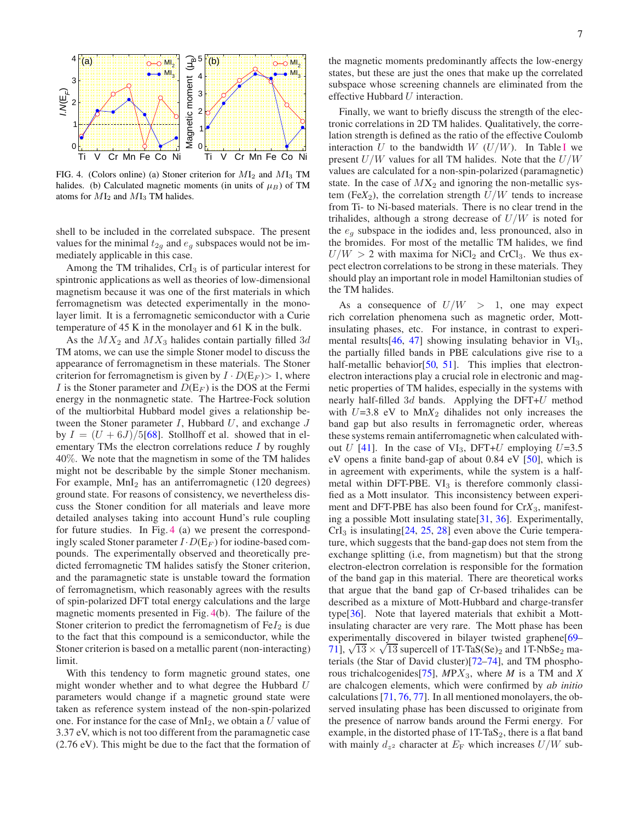<span id="page-6-0"></span>

FIG. 4. (Colors online) (a) Stoner criterion for  $M_2$  and  $M_3$  TM halides. (b) Calculated magnetic moments (in units of  $\mu_B$ ) of TM atoms for  $MI_2$  and  $MI_3$  TM halides.

shell to be included in the correlated subspace. The present values for the minimal  $t_{2g}$  and  $e_g$  subspaces would not be immediately applicable in this case.

Among the TM trihalides,  $CrI<sub>3</sub>$  is of particular interest for spintronic applications as well as theories of low-dimensional magnetism because it was one of the first materials in which ferromagnetism was detected experimentally in the monolayer limit. It is a ferromagnetic semiconductor with a Curie temperature of 45 K in the monolayer and 61 K in the bulk.

As the  $MX_2$  and  $MX_3$  halides contain partially filled 3d TM atoms, we can use the simple Stoner model to discuss the appearance of ferromagnetism in these materials. The Stoner criterion for ferromagnetism is given by  $I \cdot D(E_F) > 1$ , where I is the Stoner parameter and  $D(E_F)$  is the DOS at the Fermi energy in the nonmagnetic state. The Hartree-Fock solution of the multiorbital Hubbard model gives a relationship between the Stoner parameter  $I$ , Hubbard  $U$ , and exchange  $J$ by  $I = (U + 6J)/5[68]$  $I = (U + 6J)/5[68]$ . Stollhoff et al. showed that in elementary TMs the electron correlations reduce I by roughly 40%. We note that the magnetism in some of the TM halides might not be describable by the simple Stoner mechanism. For example,  $MnI<sub>2</sub>$  has an antiferromagnetic (120 degrees) ground state. For reasons of consistency, we nevertheless discuss the Stoner condition for all materials and leave more detailed analyses taking into account Hund's rule coupling for future studies. In Fig. [4](#page-6-0) (a) we present the correspondingly scaled Stoner parameter  $I \cdot D(E_F)$  for iodine-based compounds. The experimentally observed and theoretically predicted ferromagnetic TM halides satisfy the Stoner criterion, and the paramagnetic state is unstable toward the formation of ferromagnetism, which reasonably agrees with the results of spin-polarized DFT total energy calculations and the large magnetic moments presented in Fig. [4\(](#page-6-0)b). The failure of the Stoner criterion to predict the ferromagnetism of  $FeI<sub>2</sub>$  is due to the fact that this compound is a semiconductor, while the Stoner criterion is based on a metallic parent (non-interacting) limit.

With this tendency to form magnetic ground states, one might wonder whether and to what degree the Hubbard U parameters would change if a magnetic ground state were taken as reference system instead of the non-spin-polarized one. For instance for the case of  $MnI<sub>2</sub>$ , we obtain a U value of 3.37 eV, which is not too different from the paramagnetic case (2.76 eV). This might be due to the fact that the formation of the magnetic moments predominantly affects the low-energy states, but these are just the ones that make up the correlated subspace whose screening channels are eliminated from the effective Hubbard U interaction.

Finally, we want to briefly discuss the strength of the electronic correlations in 2D TM halides. Qualitatively, the correlation strength is defined as the ratio of the effective Coulomb interaction U to the bandwidth  $W$  ( $U/W$ ). [I](#page-5-0)n Table I we present  $U/W$  values for all TM halides. Note that the  $U/W$ values are calculated for a non-spin-polarized (paramagnetic) state. In the case of  $MX_2$  and ignoring the non-metallic system (Fe $X_2$ ), the correlation strength  $U/W$  tends to increase from Ti- to Ni-based materials. There is no clear trend in the trihalides, although a strong decrease of  $U/W$  is noted for the  $e_a$  subspace in the iodides and, less pronounced, also in the bromides. For most of the metallic TM halides, we find  $U/W > 2$  with maxima for NiCl<sub>2</sub> and CrCl<sub>3</sub>. We thus expect electron correlations to be strong in these materials. They should play an important role in model Hamiltonian studies of the TM halides.

As a consequence of  $U/W > 1$ , one may expect rich correlation phenomena such as magnetic order, Mottinsulating phases, etc. For instance, in contrast to experimental results $[46, 47]$  $[46, 47]$  $[46, 47]$  showing insulating behavior in  $VI_3$ , the partially filled bands in PBE calculations give rise to a half-metallic behavior[\[50,](#page-8-15) [51](#page-8-19)]. This implies that electronelectron interactions play a crucial role in electronic and magnetic properties of TM halides, especially in the systems with nearly half-filled  $3d$  bands. Applying the DFT+ $U$  method with  $U=3.8$  eV to  $MnX_2$  dihalides not only increases the band gap but also results in ferromagnetic order, whereas these systems remain antiferromagnetic when calculated with-out U [\[41\]](#page-8-7). In the case of VI<sub>3</sub>, DFT+U employing U=3.5 eV opens a finite band-gap of about 0.84 eV [\[50](#page-8-15)], which is in agreement with experiments, while the system is a halfmetal within DFT-PBE.  $VI_3$  is therefore commonly classified as a Mott insulator. This inconsistency between experiment and DFT-PBE has also been found for Cr*X*3, manifesting a possible Mott insulating state[\[31,](#page-8-6) [36](#page-8-37)]. Experimentally,  $CrI<sub>3</sub>$  is insulating  $[24, 25, 28]$  $[24, 25, 28]$  $[24, 25, 28]$  $[24, 25, 28]$  $[24, 25, 28]$  even above the Curie temperature, which suggests that the band-gap does not stem from the exchange splitting (i.e, from magnetism) but that the strong electron-electron correlation is responsible for the formation of the band gap in this material. There are theoretical works that argue that the band gap of Cr-based trihalides can be described as a mixture of Mott-Hubbard and charge-transfer type[\[36\]](#page-8-37). Note that layered materials that exhibit a Mottinsulating character are very rare. The Mott phase has been experimentally discovered in bilayer twisted graphene<sup>[\[69–](#page-8-39)–</sup>  $71$ ],  $\sqrt{13} \times \sqrt{13}$  supercell of 1T-TaS(Se)<sub>2</sub> and 1T-NbSe<sub>2</sub> materials (the Star of David cluster)[\[72](#page-8-41)[–74\]](#page-8-42), and TM phosphorous trichalcogenides[\[75\]](#page-8-43), *M*PX3, where *M* is a TM and *X* are chalcogen elements, which were confirmed by *ab initio* calculations [\[71,](#page-8-40) [76](#page-9-0), [77\]](#page-9-1). In all mentioned monolayers, the observed insulating phase has been discussed to originate from the presence of narrow bands around the Fermi energy. For example, in the distorted phase of  $1T-TaS<sub>2</sub>$ , there is a flat band with mainly  $d_{z^2}$  character at  $E_F$  which increases  $U/W$  sub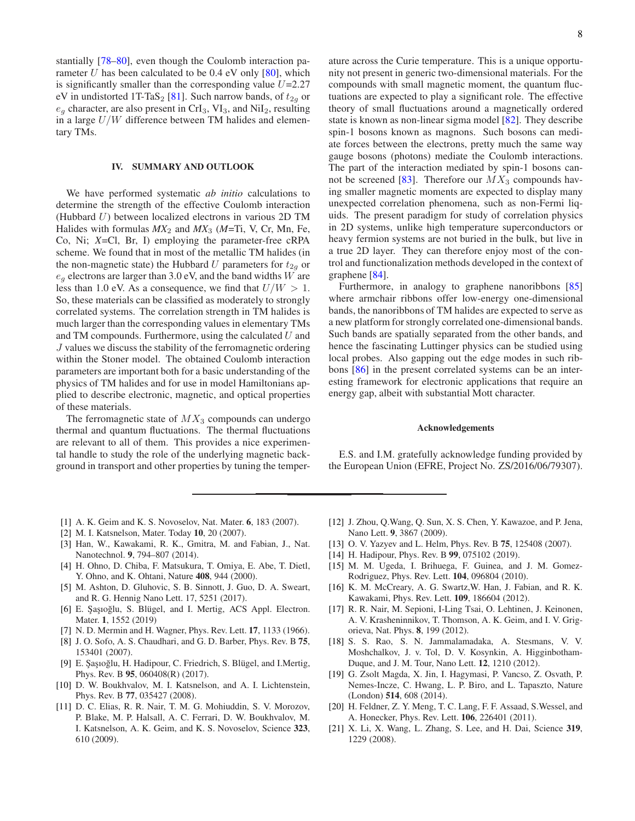stantially [\[78](#page-9-2)[–80](#page-9-3)], even though the Coulomb interaction parameter  $U$  has been calculated to be 0.4 eV only  $[80]$ , which is significantly smaller than the corresponding value  $U=2.27$ eV in undistorted 1T-TaS<sub>2</sub> [\[81\]](#page-9-4). Such narrow bands, of  $t_{2q}$  or  $e_q$  character, are also present in CrI<sub>3</sub>, VI<sub>3</sub>, and NiI<sub>2</sub>, resulting in a large  $U/W$  difference between TM halides and elementary TMs.

## <span id="page-7-11"></span>IV. SUMMARY AND OUTLOOK

We have performed systematic *ab initio* calculations to determine the strength of the effective Coulomb interaction (Hubbard  $U$ ) between localized electrons in various 2D TM Halides with formulas  $MX_2$  and  $MX_3$  ( $M=Ti$ , V, Cr, Mn, Fe, Co, Ni; *X*=Cl, Br, I) employing the parameter-free cRPA scheme. We found that in most of the metallic TM halides (in the non-magnetic state) the Hubbard U parameters for  $t_{2g}$  or  $e_q$  electrons are larger than 3.0 eV, and the band widths W are less than 1.0 eV. As a consequence, we find that  $U/W > 1$ . So, these materials can be classified as moderately to strongly correlated systems. The correlation strength in TM halides is much larger than the corresponding values in elementary TMs and TM compounds. Furthermore, using the calculated  $U$  and J values we discuss the stability of the ferromagnetic ordering within the Stoner model. The obtained Coulomb interaction parameters are important both for a basic understanding of the physics of TM halides and for use in model Hamiltonians applied to describe electronic, magnetic, and optical properties of these materials.

The ferromagnetic state of  $MX_3$  compounds can undergo thermal and quantum fluctuations. The thermal fluctuations are relevant to all of them. This provides a nice experimental handle to study the role of the underlying magnetic background in transport and other properties by tuning the temperature across the Curie temperature. This is a unique opportunity not present in generic two-dimensional materials. For the compounds with small magnetic moment, the quantum fluctuations are expected to play a significant role. The effective theory of small fluctuations around a magnetically ordered state is known as non-linear sigma model [\[82](#page-9-5)]. They describe spin-1 bosons known as magnons. Such bosons can mediate forces between the electrons, pretty much the same way gauge bosons (photons) mediate the Coulomb interactions. The part of the interaction mediated by spin-1 bosons can-not be screened [\[83\]](#page-9-6). Therefore our  $MX_3$  compounds having smaller magnetic moments are expected to display many unexpected correlation phenomena, such as non-Fermi liquids. The present paradigm for study of correlation physics in 2D systems, unlike high temperature superconductors or heavy fermion systems are not buried in the bulk, but live in a true 2D layer. They can therefore enjoy most of the control and functionalization methods developed in the context of graphene [\[84](#page-9-7)].

Furthermore, in analogy to graphene nanoribbons [\[85\]](#page-9-8) where armchair ribbons offer low-energy one-dimensional bands, the nanoribbons of TM halides are expected to serve as a new platform for strongly correlated one-dimensional bands. Such bands are spatially separated from the other bands, and hence the fascinating Luttinger physics can be studied using local probes. Also gapping out the edge modes in such ribbons [\[86\]](#page-9-9) in the present correlated systems can be an interesting framework for electronic applications that require an energy gap, albeit with substantial Mott character.

#### Acknowledgements

E.S. and I.M. gratefully acknowledge funding provided by the European Union (EFRE, Project No. ZS/2016/06/79307).

- <span id="page-7-0"></span>[1] A. K. Geim and K. S. Novoselov, Nat. Mater. 6, 183 (2007).
- <span id="page-7-1"></span>[2] M. I. Katsnelson, Mater. Today 10, 20 (2007).
- <span id="page-7-2"></span>[3] Han, W., Kawakami, R. K., Gmitra, M. and Fabian, J., Nat. Nanotechnol. 9, 794–807 (2014).
- [4] H. Ohno, D. Chiba, F. Matsukura, T. Omiya, E. Abe, T. Dietl, Y. Ohno, and K. Ohtani, Nature 408, 944 (2000).
- <span id="page-7-3"></span>[5] M. Ashton, D. Gluhovic, S. B. Sinnott, J. Guo, D. A. Sweart, and R. G. Hennig Nano Lett. 17, 5251 (2017).
- <span id="page-7-4"></span>[6] E. Şaşıoğlu, S. Blügel, and I. Mertig, ACS Appl. Electron. Mater. 1, 1552 (2019)
- <span id="page-7-5"></span>[7] N. D. Mermin and H. Wagner, Phys. Rev. Lett. 17, 1133 (1966).
- <span id="page-7-6"></span>[8] J. O. Sofo, A. S. Chaudhari, and G. D. Barber, Phys. Rev. B 75, 153401 (2007).
- [9] E. Şaşıoğlu, H. Hadipour, C. Friedrich, S. Blügel, and I.Mertig, Phys. Rev. B 95, 060408(R) (2017).
- [10] D. W. Boukhvalov, M. I. Katsnelson, and A. I. Lichtenstein, Phys. Rev. B 77, 035427 (2008).
- [11] D. C. Elias, R. R. Nair, T. M. G. Mohiuddin, S. V. Morozov, P. Blake, M. P. Halsall, A. C. Ferrari, D. W. Boukhvalov, M. I. Katsnelson, A. K. Geim, and K. S. Novoselov, Science 323, 610 (2009).
- <span id="page-7-7"></span>[12] J. Zhou, Q.Wang, Q. Sun, X. S. Chen, Y. Kawazoe, and P. Jena, Nano Lett. 9, 3867 (2009).
- <span id="page-7-8"></span>[13] O. V. Yazyev and L. Helm, Phys. Rev. B **75**, 125408 (2007).
- [14] H. Hadipour, Phys. Rev. B 99, 075102 (2019).
- [15] M. M. Ugeda, I. Brihuega, F. Guinea, and J. M. Gomez-Rodriguez, Phys. Rev. Lett. 104, 096804 (2010).
- [16] K. M. McCreary, A. G. Swartz,W. Han, J. Fabian, and R. K. Kawakami, Phys. Rev. Lett. 109, 186604 (2012).
- <span id="page-7-9"></span>[17] R. R. Nair, M. Sepioni, I-Ling Tsai, O. Lehtinen, J. Keinonen, A. V. Krasheninnikov, T. Thomson, A. K. Geim, and I. V. Grigorieva, Nat. Phys. 8, 199 (2012).
- <span id="page-7-10"></span>[18] S. S. Rao, S. N. Jammalamadaka, A. Stesmans, V. V. Moshchalkov, J. v. Tol, D. V. Kosynkin, A. Higginbotham-Duque, and J. M. Tour, Nano Lett. 12, 1210 (2012).
- [19] G. Zsolt Magda, X. Jin, I. Hagymasi, P. Vancso, Z. Osvath, P. Nemes-Incze, C. Hwang, L. P. Biro, and L. Tapaszto, Nature (London) 514, 608 (2014).
- [20] H. Feldner, Z. Y. Meng, T. C. Lang, F. F. Assaad, S.Wessel, and A. Honecker, Phys. Rev. Lett. 106, 226401 (2011).
- [21] X. Li, X. Wang, L. Zhang, S. Lee, and H. Dai, Science 319, 1229 (2008).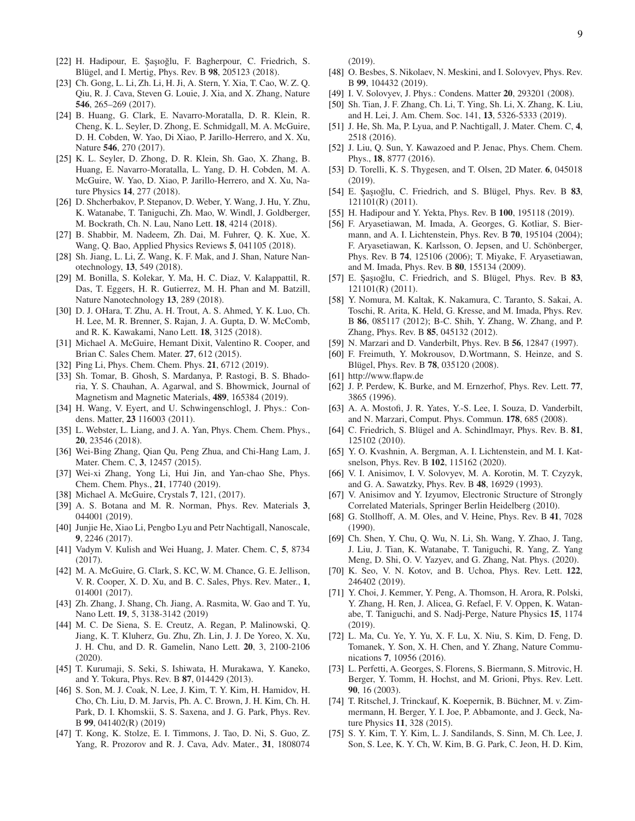- <span id="page-8-0"></span>[22] H. Hadipour, E. Şaşıoğlu, F. Bagherpour, C. Friedrich, S. Blügel, and I. Mertig, Phys. Rev. B 98, 205123 (2018).
- <span id="page-8-1"></span>[23] Ch. Gong, L. Li, Zh. Li, H. Ji, A. Stern, Y. Xia, T. Cao, W. Z. Q. Qiu, R. J. Cava, Steven G. Louie, J. Xia, and X. Zhang, Nature 546, 265–269 (2017).
- <span id="page-8-2"></span>[24] B. Huang, G. Clark, E. Navarro-Moratalla, D. R. Klein, R. Cheng, K. L. Seyler, D. Zhong, E. Schmidgall, M. A. McGuire, D. H. Cobden, W. Yao, Di Xiao, P. Jarillo-Herrero, and X. Xu, Nature 546, 270 (2017).
- <span id="page-8-38"></span>[25] K. L. Seyler, D. Zhong, D. R. Klein, Sh. Gao, X. Zhang, B. Huang, E. Navarro-Moratalla, L. Yang, D. H. Cobden, M. A. McGuire, W. Yao, D. Xiao, P. Jarillo-Herrero, and X. Xu, Nature Physics 14, 277 (2018).
- [26] D. Shcherbakov, P. Stepanov, D. Weber, Y. Wang, J. Hu, Y. Zhu, K. Watanabe, T. Taniguchi, Zh. Mao, W. Windl, J. Goldberger, M. Bockrath, Ch. N. Lau, Nano Lett. 18, 4214 (2018).
- [27] B. Shabbir, M. Nadeem, Zh. Dai, M. Fuhrer, Q. K. Xue, X. Wang, Q. Bao, Applied Physics Reviews 5, 041105 (2018).
- <span id="page-8-3"></span>[28] Sh. Jiang, L. Li, Z. Wang, K. F. Mak, and J. Shan, Nature Nanotechnology, 13, 549 (2018).
- <span id="page-8-4"></span>[29] M. Bonilla, S. Kolekar, Y. Ma, H. C. Diaz, V. Kalappattil, R. Das, T. Eggers, H. R. Gutierrez, M. H. Phan and M. Batzill, Nature Nanotechnology 13, 289 (2018).
- <span id="page-8-5"></span>[30] D. J. OHara, T. Zhu, A. H. Trout, A. S. Ahmed, Y. K. Luo, Ch. H. Lee, M. R. Brenner, S. Rajan, J. A. Gupta, D. W. McComb, and R. K. Kawakami, Nano Lett. 18, 3125 (2018).
- <span id="page-8-6"></span>[31] Michael A. McGuire, Hemant Dixit, Valentino R. Cooper, and Brian C. Sales Chem. Mater. 27, 612 (2015).
- [32] Ping Li, Phys. Chem. Chem. Phys. **21**, 6712 (2019).
- <span id="page-8-27"></span>[33] Sh. Tomar, B. Ghosh, S. Mardanya, P. Rastogi, B. S. Bhadoria, Y. S. Chauhan, A. Agarwal, and S. Bhowmick, Journal of Magnetism and Magnetic Materials, 489, 165384 (2019).
- <span id="page-8-17"></span>[34] H. Wang, V. Eyert, and U. Schwingenschlogl, J. Phys.: Condens. Matter, 23 116003 (2011).
- [35] L. Webster, L. Liang, and J. A. Yan, Phys. Chem. Chem. Phys., 20, 23546 (2018).
- <span id="page-8-37"></span>[36] Wei-Bing Zhang, Qian Qu, Peng Zhua, and Chi-Hang Lam, J. Mater. Chem. C, 3, 12457 (2015).
- [37] Wei-xi Zhang, Yong Li, Hui Jin, and Yan-chao She, Phys. Chem. Chem. Phys., 21, 17740 (2019).
- <span id="page-8-28"></span>[38] Michael A. McGuire, Crystals 7, 121, (2017).
- <span id="page-8-18"></span>[39] A. S. Botana and M. R. Norman, Phys. Rev. Materials 3, 044001 (2019).
- [40] Junjie He, Xiao Li, Pengbo Lyu and Petr Nachtigall, Nanoscale, 9, 2246 (2017).
- <span id="page-8-7"></span>[41] Vadym V. Kulish and Wei Huang, J. Mater. Chem. C, 5, 8734 (2017).
- <span id="page-8-8"></span>[42] M. A. McGuire, G. Clark, S. KC, W. M. Chance, G. E. Jellison, V. R. Cooper, X. D. Xu, and B. C. Sales, Phys. Rev. Mater., 1, 014001 (2017).
- <span id="page-8-9"></span>[43] Zh. Zhang, J. Shang, Ch. Jiang, A. Rasmita, W. Gao and T. Yu, Nano Lett. 19, 5, 3138-3142 (2019)
- <span id="page-8-10"></span>[44] M. C. De Siena, S. E. Creutz, A. Regan, P. Malinowski, Q. Jiang, K. T. Kluherz, Gu. Zhu, Zh. Lin, J. J. De Yoreo, X. Xu, J. H. Chu, and D. R. Gamelin, Nano Lett. 20, 3, 2100-2106 (2020).
- <span id="page-8-11"></span>[45] T. Kurumaji, S. Seki, S. Ishiwata, H. Murakawa, Y. Kaneko, and Y. Tokura, Phys. Rev. B 87, 014429 (2013).
- <span id="page-8-12"></span>[46] S. Son, M. J. Coak, N. Lee, J. Kim, T. Y. Kim, H. Hamidov, H. Cho, Ch. Liu, D. M. Jarvis, Ph. A. C. Brown, J. H. Kim, Ch. H. Park, D. I. Khomskii, S. S. Saxena, and J. G. Park, Phys. Rev. B 99, 041402(R) (2019)
- <span id="page-8-13"></span>[47] T. Kong, K. Stolze, E. I. Timmons, J. Tao, D. Ni, S. Guo, Z. Yang, R. Prozorov and R. J. Cava, Adv. Mater., 31, 1808074

(2019).

- <span id="page-8-14"></span>[48] O. Besbes, S. Nikolaev, N. Meskini, and I. Solovyev, Phys. Rev. B 99, 104432 (2019).
- <span id="page-8-35"></span>[49] I. V. Solovyev, J. Phys.: Condens. Matter 20, 293201 (2008).
- <span id="page-8-15"></span>[50] Sh. Tian, J. F. Zhang, Ch. Li, T. Ying, Sh. Li, X. Zhang, K. Liu, and H. Lei, J. Am. Chem. Soc. 141, 13, 5326-5333 (2019).
- <span id="page-8-19"></span>[51] J. He, Sh. Ma, P. Lyua, and P. Nachtigall, J. Mater. Chem. C, 4, 2518 (2016).
- <span id="page-8-20"></span>[52] J. Liu, Q. Sun, Y. Kawazoed and P. Jenac, Phys. Chem. Chem. Phys., 18, 8777 (2016).
- <span id="page-8-16"></span>[53] D. Torelli, K. S. Thygesen, and T. Olsen, 2D Mater. 6, 045018 (2019).
- <span id="page-8-21"></span>[54] E. Saşıoğlu, C. Friedrich, and S. Blügel, Phys. Rev. B 83, 121101(R) (2011).
- <span id="page-8-22"></span>[55] H. Hadipour and Y. Yekta, Phys. Rev. B 100, 195118 (2019).
- <span id="page-8-23"></span>[56] F. Aryasetiawan, M. Imada, A. Georges, G. Kotliar, S. Biermann, and A. I. Lichtenstein, Phys. Rev. B 70, 195104 (2004); F. Aryasetiawan, K. Karlsson, O. Jepsen, and U. Schönberger, Phys. Rev. B 74, 125106 (2006); T. Miyake, F. Aryasetiawan, and M. Imada, Phys. Rev. B 80, 155134 (2009).
- [57] E. Şaşıoğlu, C. Friedrich, and S. Blügel, Phys. Rev. B 83, 121101(R) (2011).
- <span id="page-8-24"></span>[58] Y. Nomura, M. Kaltak, K. Nakamura, C. Taranto, S. Sakai, A. Toschi, R. Arita, K. Held, G. Kresse, and M. Imada, Phys. Rev. B 86, 085117 (2012); B-C. Shih, Y. Zhang, W. Zhang, and P. Zhang, Phys. Rev. B 85, 045132 (2012).
- <span id="page-8-25"></span>[59] N. Marzari and D. Vanderbilt, Phys. Rev. B 56, 12847 (1997).
- <span id="page-8-26"></span>[60] F. Freimuth, Y. Mokrousov, D.Wortmann, S. Heinze, and S. Blügel, Phys. Rev. B 78, 035120 (2008).
- <span id="page-8-29"></span>[61] http://www.flapw.de
- <span id="page-8-30"></span>[62] J. P. Perdew, K. Burke, and M. Ernzerhof, Phys. Rev. Lett. 77, 3865 (1996).
- [63] A. A. Mostofi, J. R. Yates, Y.-S. Lee, I. Souza, D. Vanderbilt, and N. Marzari, Comput. Phys. Commun. 178, 685 (2008).
- <span id="page-8-31"></span>[64] C. Friedrich, S. Blügel and A. Schindlmayr, Phys. Rev. B. 81, 125102 (2010).
- <span id="page-8-32"></span>[65] Y. O. Kvashnin, A. Bergman, A. I. Lichtenstein, and M. I. Katsnelson, Phys. Rev. B 102, 115162 (2020).
- <span id="page-8-33"></span>[66] V. I. Anisimov, I. V. Solovyev, M. A. Korotin, M. T. Czyzyk, and G. A. Sawatzky, Phys. Rev. B 48, 16929 (1993).
- <span id="page-8-34"></span>[67] V. Anisimov and Y. Izyumov, Electronic Structure of Strongly Correlated Materials, Springer Berlin Heidelberg (2010).
- <span id="page-8-36"></span>[68] G. Stollhoff, A. M. Oles, and V. Heine, Phys. Rev. B 41, 7028 (1990).
- <span id="page-8-39"></span>[69] Ch. Shen, Y. Chu, Q. Wu, N. Li, Sh. Wang, Y. Zhao, J. Tang, J. Liu, J. Tian, K. Watanabe, T. Taniguchi, R. Yang, Z. Yang Meng, D. Shi, O. V. Yazyev, and G. Zhang, Nat. Phys. (2020).
- [70] K. Seo, V. N. Kotov, and B. Uchoa, Phys. Rev. Lett. 122, 246402 (2019).
- <span id="page-8-40"></span>[71] Y. Choi, J. Kemmer, Y. Peng, A. Thomson, H. Arora, R. Polski, Y. Zhang, H. Ren, J. Alicea, G. Refael, F. V. Oppen, K. Watanabe, T. Taniguchi, and S. Nadj-Perge, Nature Physics 15, 1174 (2019).
- <span id="page-8-41"></span>[72] L. Ma, Cu. Ye, Y. Yu, X. F. Lu, X. Niu, S. Kim, D. Feng, D. Tomanek, Y. Son, X. H. Chen, and Y. Zhang, Nature Communications 7, 10956 (2016).
- [73] L. Perfetti, A. Georges, S. Florens, S. Biermann, S. Mitrovic, H. Berger, Y. Tomm, H. Hochst, and M. Grioni, Phys. Rev. Lett. 90, 16 (2003).
- <span id="page-8-42"></span>[74] T. Ritschel, J. Trinckauf, K. Koepernik, B. Büchner, M. v. Zimmermann, H. Berger, Y. I. Joe, P. Abbamonte, and J. Geck, Nature Physics 11, 328 (2015).
- <span id="page-8-43"></span>[75] S. Y. Kim, T. Y. Kim, L. J. Sandilands, S. Sinn, M. Ch. Lee, J. Son, S. Lee, K. Y. Ch, W. Kim, B. G. Park, C. Jeon, H. D. Kim,